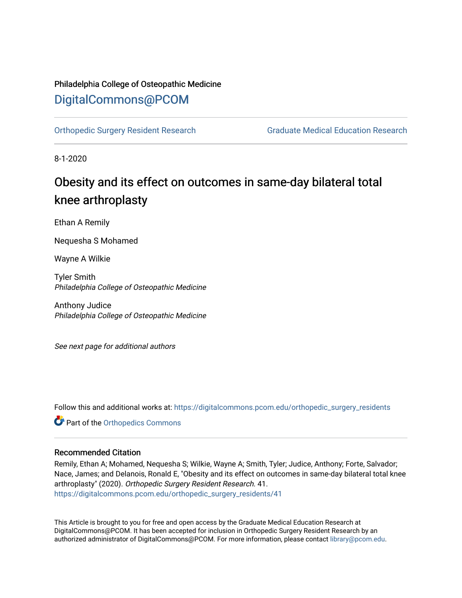## Philadelphia College of Osteopathic Medicine [DigitalCommons@PCOM](https://digitalcommons.pcom.edu/)

[Orthopedic Surgery Resident Research](https://digitalcommons.pcom.edu/orthopedic_surgery_residents) [Graduate Medical Education Research](https://digitalcommons.pcom.edu/graduate_medical_education_research) 

8-1-2020

# Obesity and its effect on outcomes in same-day bilateral total knee arthroplasty

Ethan A Remily

Nequesha S Mohamed

Wayne A Wilkie

Tyler Smith Philadelphia College of Osteopathic Medicine

Anthony Judice Philadelphia College of Osteopathic Medicine

See next page for additional authors

Follow this and additional works at: [https://digitalcommons.pcom.edu/orthopedic\\_surgery\\_residents](https://digitalcommons.pcom.edu/orthopedic_surgery_residents?utm_source=digitalcommons.pcom.edu%2Forthopedic_surgery_residents%2F41&utm_medium=PDF&utm_campaign=PDFCoverPages) 

Part of the [Orthopedics Commons](http://network.bepress.com/hgg/discipline/696?utm_source=digitalcommons.pcom.edu%2Forthopedic_surgery_residents%2F41&utm_medium=PDF&utm_campaign=PDFCoverPages)

## Recommended Citation

Remily, Ethan A; Mohamed, Nequesha S; Wilkie, Wayne A; Smith, Tyler; Judice, Anthony; Forte, Salvador; Nace, James; and Delanois, Ronald E, "Obesity and its effect on outcomes in same-day bilateral total knee arthroplasty" (2020). Orthopedic Surgery Resident Research. 41. [https://digitalcommons.pcom.edu/orthopedic\\_surgery\\_residents/41](https://digitalcommons.pcom.edu/orthopedic_surgery_residents/41?utm_source=digitalcommons.pcom.edu%2Forthopedic_surgery_residents%2F41&utm_medium=PDF&utm_campaign=PDFCoverPages)

This Article is brought to you for free and open access by the Graduate Medical Education Research at DigitalCommons@PCOM. It has been accepted for inclusion in Orthopedic Surgery Resident Research by an authorized administrator of DigitalCommons@PCOM. For more information, please contact [library@pcom.edu](mailto:library@pcom.edu).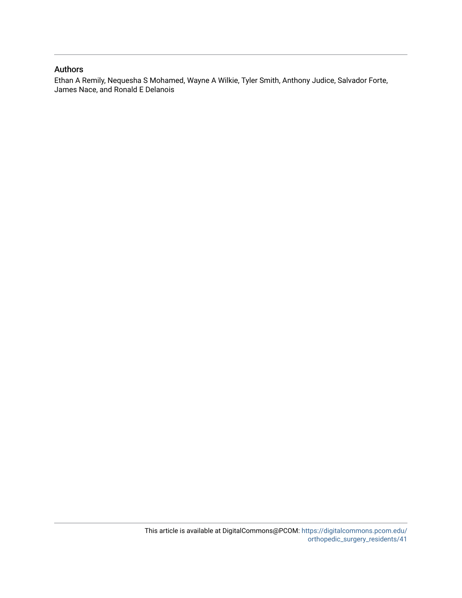## Authors

Ethan A Remily, Nequesha S Mohamed, Wayne A Wilkie, Tyler Smith, Anthony Judice, Salvador Forte, James Nace, and Ronald E Delanois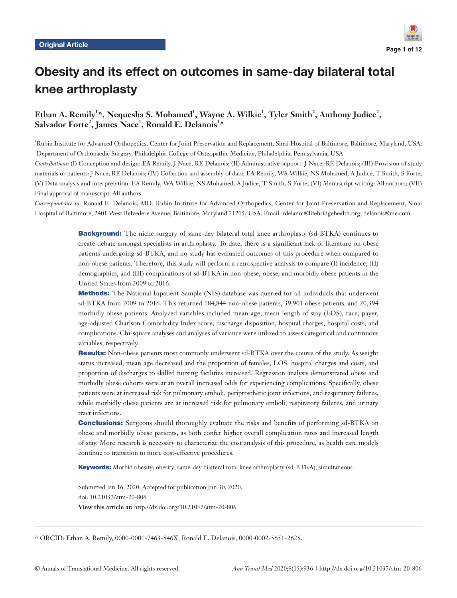

## Obesity and its effect on outcomes in same-day bilateral total knee arthroplasty

## Ethan A. Remily<sup>1</sup>^, Nequesha S. Mohamed<sup>1</sup>, Wayne A. Wilkie<sup>1</sup>, Tyler Smith<sup>2</sup>, Anthony Judice<sup>2</sup>,  $S$ alvador Forte<sup>2</sup>, James Nace<sup>1</sup>, Ronald E. Delanois<sup>1</sup>^

1 Rubin Institute for Advanced Orthopedics, Center for Joint Preservation and Replacement, Sinai Hospital of Baltimore, Baltimore, Maryland, USA; 2 Department of Orthopaedic Surgery, Philadelphia College of Osteopathic Medicine, Philadelphia, Pennsylvania, USA

*Contributions:* (I) Conception and design: EA Remily, J Nace, RE Delanois; (II) Administrative support: J Nace, RE Delanois; (III) Provision of study materials or patients: J Nace, RE Delanois; (IV) Collection and assembly of data: EA Remily, WA Wilkie, NS Mohamed, A Judice, T Smith, S Forte; (V) Data analysis and interpretation: EA Remily, WA Wilkie, NS Mohamed, A Judice, T Smith, S Forte; (VI) Manuscript writing: All authors; (VII) Final approval of manuscript: All authors.

*Correspondence to:* Ronald E. Delanois, MD. Rubin Institute for Advanced Orthopedics, Center for Joint Preservation and Replacement, Sinai Hospital of Baltimore, 2401 West Belvedere Avenue, Baltimore, Maryland 21215, USA. Email: rdelanoi@lifebridgehealth.org; delanois@me.com.

> Background: The niche surgery of same-day bilateral total knee arthroplasty (sd-BTKA) continues to create debate amongst specialists in arthroplasty. To date, there is a significant lack of literature on obese patients undergoing sd-BTKA, and no study has evaluated outcomes of this procedure when compared to non-obese patients. Therefore, this study will perform a retrospective analysis to compare (I) incidence, (II) demographics, and (III) complications of sd-BTKA in non-obese, obese, and morbidly obese patients in the United States from 2009 to 2016.

> Methods: The National Inpatient Sample (NIS) database was queried for all individuals that underwent sd-BTKA from 2009 to 2016. This returned 184,844 non-obese patients, 39,901 obese patients, and 20,394 morbidly obese patients. Analyzed variables included mean age, mean length of stay (LOS), race, payer, age-adjusted Charlson Comorbidity Index score, discharge disposition, hospital charges, hospital costs, and complications. Chi-square analyses and analyses of variance were utilized to assess categorical and continuous variables, respectively.

> Results: Non-obese patients most commonly underwent sd-BTKA over the course of the study. As weight status increased, mean age decreased and the proportion of females, LOS, hospital charges and costs, and proportion of discharges to skilled nursing facilities increased. Regression analysis demonstrated obese and morbidly obese cohorts were at an overall increased odds for experiencing complications. Specifically, obese patients were at increased risk for pulmonary emboli, periprosthetic joint infections, and respiratory failures, while morbidly obese patients are at increased risk for pulmonary emboli, respiratory failures, and urinary tract infections.

> Conclusions: Surgeons should thoroughly evaluate the risks and benefits of performing sd-BTKA on obese and morbidly obese patients, as both confer higher overall complication rates and increased length of stay. More research is necessary to characterize the cost analysis of this procedure, as health care models continue to transition to more cost-effective procedures.

Keywords: Morbid obesity; obesity; same-day bilateral total knee arthroplasty (sd-BTKA); simultaneous

Submitted Jan 16, 2020. Accepted for publication Jun 30, 2020. doi: 10.21037/atm-20-806 **View this article at:** http://dx.doi.org/10.21037/atm-20-806

^ ORCID: Ethan A. Remily, 0000-0001-7463-846X; Ronald E. Delanois, 0000-0002-5651-2625.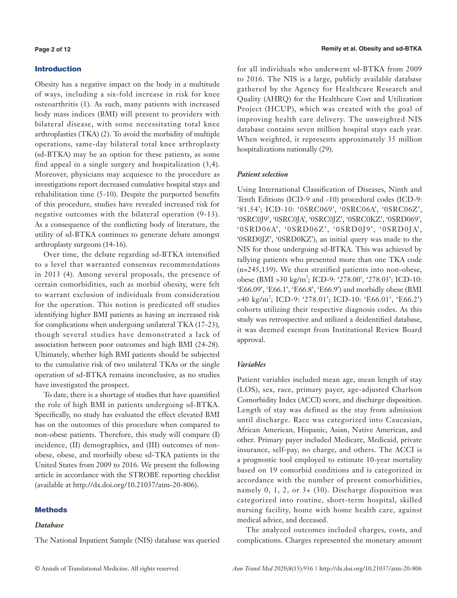## Introduction

Obesity has a negative impact on the body in a multitude of ways, including a six-fold increase in risk for knee osteoarthritis (1). As such, many patients with increased body mass indices (BMI) will present to providers with bilateral disease, with some necessitating total knee arthroplasties (TKA) (2). To avoid the morbidity of multiple operations, same-day bilateral total knee arthroplasty (sd-BTKA) may be an option for these patients, as some find appeal in a single surgery and hospitalization (3,4). Moreover, physicians may acquiesce to the procedure as investigations report decreased cumulative hospital stays and rehabilitation time (5-10). Despite the purported benefits of this procedure, studies have revealed increased risk for negative outcomes with the bilateral operation (9-13). As a consequence of the conflicting body of literature, the utility of sd-BTKA continues to generate debate amongst arthroplasty surgeons (14-16).

Over time, the debate regarding sd-BTKA intensified to a level that warranted consensus recommendations in 2013 (4). Among several proposals, the presence of certain comorbidities, such as morbid obesity, were felt to warrant exclusion of individuals from consideration for the operation. This notion is predicated off studies identifying higher BMI patients as having an increased risk for complications when undergoing unilateral TKA (17-23), though several studies have demonstrated a lack of association between poor outcomes and high BMI (24-28). Ultimately, whether high BMI patients should be subjected to the cumulative risk of two unilateral TKAs or the single operation of sd-BTKA remains inconclusive, as no studies have investigated the prospect.

To date, there is a shortage of studies that have quantified the role of high BMI in patients undergoing sd-BTKA. Specifically, no study has evaluated the effect elevated BMI has on the outcomes of this procedure when compared to non-obese patients. Therefore, this study will compare (I) incidence, (II) demographics, and (III) outcomes of nonobese, obese, and morbidly obese sd-TKA patients in the United States from 2009 to 2016. We present the following article in accordance with the STROBE reporting checklist (available at http://dx.doi.org/10.21037/atm-20-806).

## **Methods**

## *Database*

for all individuals who underwent sd-BTKA from 2009 to 2016. The NIS is a large, publicly available database gathered by the Agency for Healthcare Research and Quality (AHRQ) for the Healthcare Cost and Utilization Project (HCUP), which was created with the goal of improving health care delivery. The unweighted NIS database contains seven million hospital stays each year. When weighted, it represents approximately 35 million hospitalizations nationally (29).

## *Patient selection*

Using International Classification of Diseases, Ninth and Tenth Editions (ICD-9 and -10) procedural codes (ICD-9: '81.54'; ICD-10: '0SRC069', '0SRC06A', '0SRC06Z', '0SRC0J9', '0SRC0JA', '0SRC0JZ', '0SRC0KZ', '0SRD069', '0SRD06A', '0SRD06Z', '0SRD0J9', '0SRD0JA', '0SRD0JZ', '0SRD0KZ'), an initial query was made to the NIS for those undergoing sd-BTKA. This was achieved by tallying patients who presented more than one TKA code (n=245,139). We then stratified patients into non-obese, obese (BMI > 30 kg/m<sup>2</sup>; ICD-9: '278.00', '278.03'; ICD-10: 'E66.09', 'E66.1', 'E66.8', 'E66.9') and morbidly obese (BMI >40 kg/m<sup>2</sup> ; ICD-9: '278.01'; ICD-10: 'E66.01', 'E66.2') cohorts utilizing their respective diagnosis codes. As this study was retrospective and utilized a deidentified database, it was deemed exempt from Institutional Review Board approval.

## *Variables*

Patient variables included mean age, mean length of stay (LOS), sex, race, primary payer, age-adjusted Charlson Comorbidity Index (ACCI) score, and discharge disposition. Length of stay was defined as the stay from admission until discharge. Race was categorized into Caucasian, African American, Hispanic, Asian, Native American, and other. Primary payer included Medicare, Medicaid, private insurance, self-pay, no charge, and others. The ACCI is a prognostic tool employed to estimate 10-year mortality based on 19 comorbid conditions and is categorized in accordance with the number of present comorbidities, namely 0, 1, 2, or 3+ (30). Discharge disposition was categorized into routine, short-term hospital, skilled nursing facility, home with home health care, against medical advice, and deceased.

The analyzed outcomes included charges, costs, and complications. Charges represented the monetary amount

The National Inpatient Sample (NIS) database was queried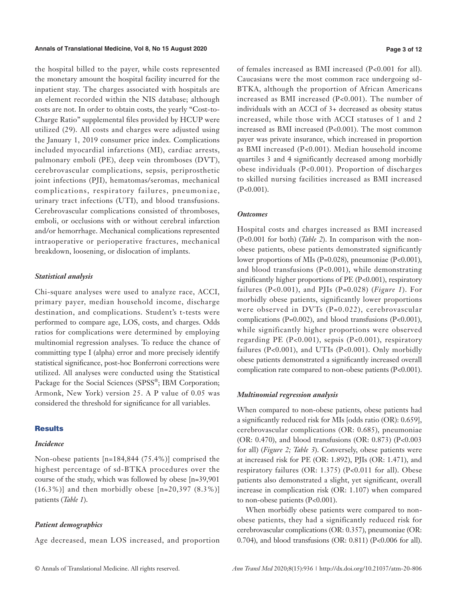#### **Annals of Translational Medicine, Vol 8, No 15 August 2020 Page 3 of 12**

the hospital billed to the payer, while costs represented the monetary amount the hospital facility incurred for the inpatient stay. The charges associated with hospitals are an element recorded within the NIS database; although costs are not. In order to obtain costs, the yearly "Cost-to-Charge Ratio" supplemental files provided by HCUP were utilized (29). All costs and charges were adjusted using the January 1, 2019 consumer price index. Complications included myocardial infarctions (MI), cardiac arrests, pulmonary emboli (PE), deep vein thromboses (DVT), cerebrovascular complications, sepsis, periprosthetic joint infections (PJI), hematomas/seromas, mechanical complications, respiratory failures, pneumoniae, urinary tract infections (UTI), and blood transfusions. Cerebrovascular complications consisted of thromboses, emboli, or occlusions with or without cerebral infarction and/or hemorrhage. Mechanical complications represented intraoperative or perioperative fractures, mechanical breakdown, loosening, or dislocation of implants.

## *Statistical analysis*

Chi-square analyses were used to analyze race, ACCI, primary payer, median household income, discharge destination, and complications. Student's t-tests were performed to compare age, LOS, costs, and charges. Odds ratios for complications were determined by employing multinomial regression analyses. To reduce the chance of committing type I (alpha) error and more precisely identify statistical significance, post-hoc Bonferroni corrections were utilized. All analyses were conducted using the Statistical Package for the Social Sciences (SPSS®; IBM Corporation; Armonk, New York) version 25. A P value of 0.05 was considered the threshold for significance for all variables.

## **Results**

#### *Incidence*

Non-obese patients [n=184,844 (75.4%)] comprised the highest percentage of sd-BTKA procedures over the course of the study, which was followed by obese [n=39,901  $(16.3\%)$ ] and then morbidly obese [n=20,397 (8.3%)] patients (*Table 1*).

## *Patient demographics*

Age decreased, mean LOS increased, and proportion

of females increased as BMI increased (P<0.001 for all). Caucasians were the most common race undergoing sd-BTKA, although the proportion of African Americans increased as BMI increased (P<0.001). The number of individuals with an ACCI of 3+ decreased as obesity status increased, while those with ACCI statuses of 1 and 2 increased as BMI increased (P<0.001). The most common payer was private insurance, which increased in proportion as BMI increased (P<0.001). Median household income quartiles 3 and 4 significantly decreased among morbidly obese individuals (P<0.001). Proportion of discharges to skilled nursing facilities increased as BMI increased  $(P<0.001)$ .

## *Outcomes*

Hospital costs and charges increased as BMI increased (P<0.001 for both) (*Table 2*). In comparison with the nonobese patients, obese patients demonstrated significantly lower proportions of MIs (P=0.028), pneumoniae (P<0.001), and blood transfusions (P<0.001), while demonstrating significantly higher proportions of PE (P<0.001), respiratory failures (P<0.001), and PJIs (P=0.028) (*Figure 1*). For morbidly obese patients, significantly lower proportions were observed in DVTs (P=0.022), cerebrovascular complications (P=0.002), and blood transfusions (P<0.001), while significantly higher proportions were observed regarding PE (P<0.001), sepsis (P<0.001), respiratory failures (P<0.001), and UTIs (P<0.001). Only morbidly obese patients demonstrated a significantly increased overall complication rate compared to non-obese patients (P<0.001).

## *Multinomial regression analysis*

When compared to non-obese patients, obese patients had a significantly reduced risk for MIs [odds ratio (OR): 0.659], cerebrovascular complications (OR: 0.685), pneumoniae (OR: 0.470), and blood transfusions (OR: 0.873) (P<0.003 for all) (*Figure 2; Table 3*). Conversely, obese patients were at increased risk for PE (OR: 1.892), PJIs (OR: 1.471), and respiratory failures (OR: 1.375) (P<0.011 for all). Obese patients also demonstrated a slight, yet significant, overall increase in complication risk (OR: 1.107) when compared to non-obese patients (P<0.001).

When morbidly obese patients were compared to nonobese patients, they had a significantly reduced risk for cerebrovascular complications (OR: 0.357), pneumoniae (OR: 0.704), and blood transfusions (OR: 0.811) (P<0.006 for all).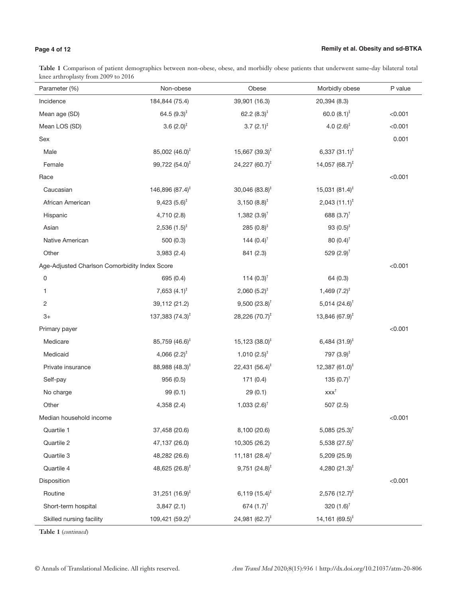## **Page 4 of 12**

J.

**Table 1** Comparison of patient demographics between non-obese, obese, and morbidly obese patients that underwent same-day bilateral total knee arthroplasty from 2009 to 2016

| Parameter (%)                                 | Non-obese                   | Obese                        | Morbidly obese                          | P value |
|-----------------------------------------------|-----------------------------|------------------------------|-----------------------------------------|---------|
| Incidence                                     | 184,844 (75.4)              | 39,901 (16.3)                | 20,394 (8.3)                            |         |
| Mean age (SD)                                 | 64.5 $(9.3)^{\ddagger}$     | 62.2 $(8.3)^{\ddagger}$      | 60.0 $(8.1)^{\ddagger}$                 | < 0.001 |
| Mean LOS (SD)                                 | 3.6 $(2.0)^{\ddagger}$      | $3.7(2.1)^{\ddagger}$        | 4.0 $(2.6)^{\ddagger}$                  | < 0.001 |
| Sex                                           |                             |                              |                                         | 0.001   |
| Male                                          | 85,002 (46.0) <sup>‡</sup>  | $15,667$ (39.3) <sup>‡</sup> | 6,337 $(31.1)^{\ddagger}$               |         |
| Female                                        | 99,722 (54.0) <sup>‡</sup>  | 24,227 $(60.7)^{\ddagger}$   | 14,057 (68.7) <sup><math>#</math></sup> |         |
| Race                                          |                             |                              |                                         | < 0.001 |
| Caucasian                                     | 146,896 $(87.4)^{\ddagger}$ | $30,046$ $(83.8)^{\ddagger}$ | $15,031(81.4)^{\ddagger}$               |         |
| African American                              | $9,423(5.6)^{\ddagger}$     | $3,150(8.8)^{\ddagger}$      | $2,043$ $(11.1)^{\ddagger}$             |         |
| Hispanic                                      | 4,710 (2.8)                 | 1,382 $(3.9)$ <sup>†</sup>   | 688 $(3.7)^{\dagger}$                   |         |
| Asian                                         | $2,536(1.5)^{\ddagger}$     | 285 $(0.8)^{\ddagger}$       | 93 $(0.5)^{\ddagger}$                   |         |
| Native American                               | 500(0.3)                    | 144 $(0.4)^{\dagger}$        | 80 $(0.4)$ <sup>†</sup>                 |         |
| Other                                         | 3,983 (2.4)                 | 841 (2.3)                    | 529 $(2.9)^{\dagger}$                   |         |
| Age-Adjusted Charlson Comorbidity Index Score |                             |                              |                                         | < 0.001 |
| 0                                             | 695 (0.4)                   | 114 $(0.3)^{\dagger}$        | 64 (0.3)                                |         |
| 1                                             | 7,653 $(4.1)^{\ddagger}$    | $2,060(5.2)^{4}$             | $1,469$ $(7.2)^{\ddagger}$              |         |
| 2                                             | 39,112 (21.2)               | $9,500(23.8)^{\dagger}$      | 5,014 $(24.6)^{\dagger}$                |         |
| $3+$                                          | 137,383 $(74.3)^{\ddagger}$ | 28,226 $(70.7)^{\ddagger}$   | 13,846 $(67.9)^{\ddagger}$              |         |
| Primary payer                                 |                             |                              |                                         | < 0.001 |
| Medicare                                      | 85,759 (46.6) <sup>‡</sup>  | $15,123(38.0)^{\ddagger}$    | 6,484 $(31.9)^{\ddagger}$               |         |
| Medicaid                                      | 4,066 $(2.2)^{\ddagger}$    | $1,010(2.5)^{\ddagger}$      | 797 $(3.9)^{\ddagger}$                  |         |
| Private insurance                             | 88,988 (48.3) <sup>‡</sup>  | 22,431 $(56.4)^{\ddagger}$   | 12,387 $(61.0)^{\ddagger}$              |         |
| Self-pay                                      | 956(0.5)                    | 171(0.4)                     | 135 $(0.7)^{\dagger}$                   |         |
| No charge                                     | 99(0.1)                     | 29(0.1)                      | $xxx^{\dagger}$                         |         |
| Other                                         | 4,358 (2.4)                 | 1,033 $(2.6)^{\dagger}$      | 507 (2.5)                               |         |
| Median household income                       |                             |                              |                                         | < 0.001 |
| Quartile 1                                    | 37,458 (20.6)               | 8,100 (20.6)                 | 5,085 $(25.3)^{\dagger}$                |         |
| Quartile 2                                    | 47,137 (26.0)               | 10,305 (26.2)                | 5,538 $(27.5)^{\dagger}$                |         |
| Quartile 3                                    | 48,282 (26.6)               | 11,181 $(28.4)^{\dagger}$    | 5,209 (25.9)                            |         |
| Quartile 4                                    | 48,625 (26.8) <sup>‡</sup>  | $9,751$ $(24.8)^{\ddagger}$  | 4,280 $(21.3)^{\ddagger}$               |         |
| Disposition                                   |                             |                              |                                         | < 0.001 |
| Routine                                       | 31,251 $(16.9)^{\ddagger}$  | $6,119(15.4)^{\ddagger}$     | $2,576$ (12.7) <sup>‡</sup>             |         |
| Short-term hospital                           | 3,847(2.1)                  | 674 $(1.7)^{\dagger}$        | 320 $(1.6)^{\dagger}$                   |         |
| Skilled nursing facility                      | $109,421(59.2)^{\ddagger}$  | 24,981 $(62.7)^{\ddagger}$   | 14,161 $(69.5)^{\ddagger}$              |         |

**Table 1** (*continued*)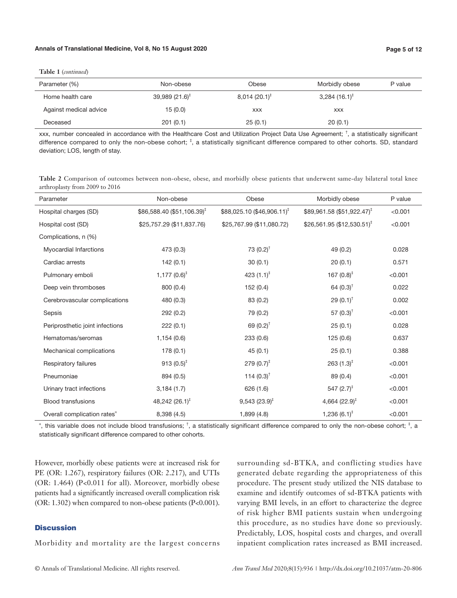#### **Annals of Translational Medicine, Vol 8, No 15 August 2020 Page 5 of 12**

**Table 1** (*continued*)

| Parameter (%)          | Non-obese                 | Obese                    | Morbidly obese              | P value |
|------------------------|---------------------------|--------------------------|-----------------------------|---------|
| Home health care       | $39,989(21.6)^{\ddagger}$ | $8,014(20.1)^{\ddagger}$ | $3,284$ (16.1) <sup>‡</sup> |         |
| Against medical advice | 15(0.0)                   | <b>XXX</b>               | <b>XXX</b>                  |         |
| Deceased               | 201(0.1)                  | 25(0.1)                  | 20(0.1)                     |         |

xxx, number concealed in accordance with the Healthcare Cost and Utilization Project Data Use Agreement; † , a statistically significant difference compared to only the non-obese cohort; <sup>‡</sup>, a statistically significant difference compared to other cohorts. SD, standard deviation; LOS, length of stay.

**Table 2** Comparison of outcomes between non-obese, obese, and morbidly obese patients that underwent same-day bilateral total knee arthroplasty from 2009 to 2016

| Parameter                               | Non-obese                            | Obese                                  | Morbidly obese                         | P value |
|-----------------------------------------|--------------------------------------|----------------------------------------|----------------------------------------|---------|
| Hospital charges (SD)                   | $$86,588.40 ($51,106.39)^{\ddagger}$ | \$88,025.10 (\$46,906.11) <sup>†</sup> | $$89,961.58 ($51,922.47)^{\ddagger}$   | < 0.001 |
| Hospital cost (SD)                      | \$25,757.29 (\$11,837.76)            | \$25,767.99 (\$11,080.72)              | \$26,561.95 (\$12,530.51) <sup>†</sup> | < 0.001 |
| Complications, n (%)                    |                                      |                                        |                                        |         |
| Myocardial Infarctions                  | 473 (0.3)                            | $73(0.2)^{t}$                          | 49 (0.2)                               | 0.028   |
| Cardiac arrests                         | 142(0.1)                             | 30(0.1)                                | 20(0.1)                                | 0.571   |
| Pulmonary emboli                        | $1,177$ $(0.6)^{\ddagger}$           | 423 $(1.1)^{\ddagger}$                 | 167 $(0.8)^{\ddagger}$                 | < 0.001 |
| Deep vein thromboses                    | 800 (0.4)                            | 152 (0.4)                              | 64 $(0.3)$ <sup>†</sup>                | 0.022   |
| Cerebrovascular complications           | 480 (0.3)                            | 83 (0.2)                               | $29(0.1)^{\dagger}$                    | 0.002   |
| Sepsis                                  | 292(0.2)                             | 79 (0.2)                               | 57 $(0.3)^{\dagger}$                   | < 0.001 |
| Periprosthetic joint infections         | 222(0.1)                             | 69 $(0.2)^{\dagger}$                   | 25(0.1)                                | 0.028   |
| Hematomas/seromas                       | 1,154(0.6)                           | 233 (0.6)                              | 125(0.6)                               | 0.637   |
| Mechanical complications                | 178(0.1)                             | 45(0.1)                                | 25(0.1)                                | 0.388   |
| Respiratory failures                    | 913 $(0.5)^{\ddagger}$               | $279(0.7)^*$                           | $263(1.3)^{\ddagger}$                  | < 0.001 |
| Pneumoniae                              | 894 (0.5)                            | 114 $(0.3)$ <sup>†</sup>               | 89 (0.4)                               | < 0.001 |
| Urinary tract infections                | 3,184(1.7)                           | 626 (1.6)                              | 547 $(2.7)^{\ddagger}$                 | < 0.001 |
| <b>Blood transfusions</b>               | 48,242 $(26.1)^{\ddagger}$           | $9,543(23.9)^{\ddagger}$               | 4,664 $(22.9)^{\ddagger}$              | < 0.001 |
| Overall complication rates <sup>«</sup> | 8,398 (4.5)                          | 1,899(4.8)                             | $1,236(6.1)^{T}$                       | < 0.001 |

", this variable does not include blood transfusions;  $^{\dagger}$ , a statistically significant difference compared to only the non-obese cohort;  $^{\ddagger}$ , a statistically significant difference compared to other cohorts.

However, morbidly obese patients were at increased risk for PE (OR: 1.267), respiratory failures (OR: 2.217), and UTIs (OR: 1.464) (P<0.011 for all). Moreover, morbidly obese patients had a significantly increased overall complication risk (OR: 1.302) when compared to non-obese patients (P<0.001).

## **Discussion**

Morbidity and mortality are the largest concerns

surrounding sd-BTKA, and conflicting studies have generated debate regarding the appropriateness of this procedure. The present study utilized the NIS database to examine and identify outcomes of sd-BTKA patients with varying BMI levels, in an effort to characterize the degree of risk higher BMI patients sustain when undergoing this procedure, as no studies have done so previously. Predictably, LOS, hospital costs and charges, and overall inpatient complication rates increased as BMI increased.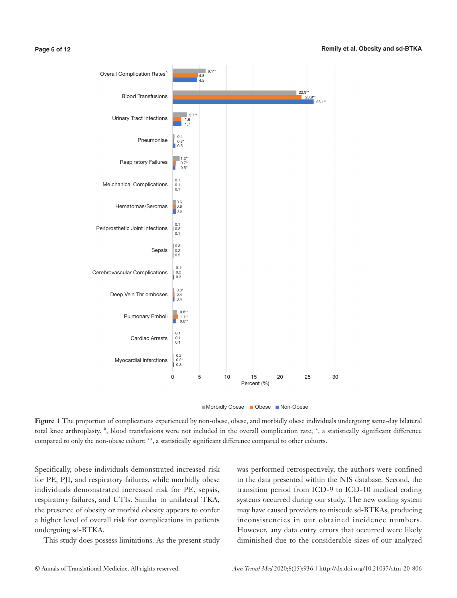#### **Page 6 of 12**



**Figure 1** The proportion of complications experienced by non-obese, obese, and morbidly obese individuals undergoing same-day bilateral total knee arthroplasty.  $\triangle$ , blood transfusions were not included in the overall complication rate; \*, a statistically significant difference compared to only the non-obese cohort; \*\*, a statistically significant difference compared to other cohorts.

Specifically, obese individuals demonstrated increased risk for PE, PJI, and respiratory failures, while morbidly obese individuals demonstrated increased risk for PE, sepsis, respiratory failures, and UTIs. Similar to unilateral TKA, the presence of obesity or morbid obesity appears to confer a higher level of overall risk for complications in patients undergoing sd-BTKA.

This study does possess limitations. As the present study

was performed retrospectively, the authors were confined to the data presented within the NIS database. Second, the transition period from ICD-9 to ICD-10 medical coding systems occurred during our study. The new coding system may have caused providers to miscode sd-BTKAs, producing inconsistencies in our obtained incidence numbers. However, any data entry errors that occurred were likely diminished due to the considerable sizes of our analyzed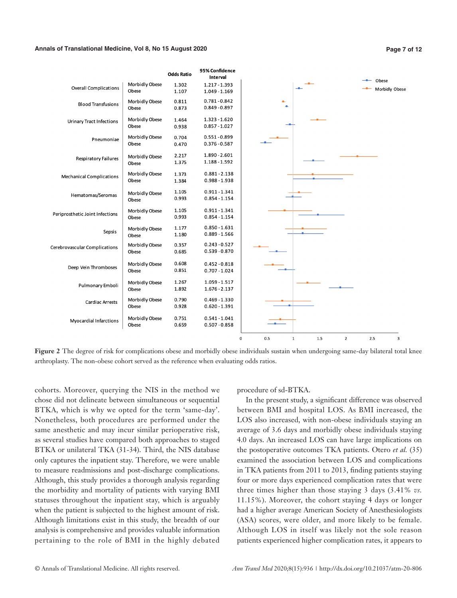#### **Annals of Translational Medicine, Vol 8, No 15 August 2020 Page 7 of 12**



Figure 2 The degree of risk for complications obese and morbidly obese individuals sustain when undergoing same-day bilateral total knee arthroplasty. The non-obese cohort served as the reference when evaluating odds ratios.

cohorts. Moreover, querying the NIS in the method we chose did not delineate between simultaneous or sequential BTKA, which is why we opted for the term 'same-day'. Nonetheless, both procedures are performed under the same anesthetic and may incur similar perioperative risk, as several studies have compared both approaches to staged BTKA or unilateral TKA (31-34). Third, the NIS database only captures the inpatient stay. Therefore, we were unable to measure readmissions and post-discharge complications. Although, this study provides a thorough analysis regarding the morbidity and mortality of patients with varying BMI statuses throughout the inpatient stay, which is arguably when the patient is subjected to the highest amount of risk. Although limitations exist in this study, the breadth of our analysis is comprehensive and provides valuable information pertaining to the role of BMI in the highly debated procedure of sd-BTKA.

In the present study, a significant difference was observed between BMI and hospital LOS. As BMI increased, the LOS also increased, with non-obese individuals staying an average of 3.6 days and morbidly obese individuals staying 4.0 days. An increased LOS can have large implications on the postoperative outcomes TKA patients. Otero *et al.* (35) examined the association between LOS and complications in TKA patients from 2011 to 2013, finding patients staying four or more days experienced complication rates that were three times higher than those staying 3 days (3.41% *vs.* 11.15%). Moreover, the cohort staying 4 days or longer had a higher average American Society of Anesthesiologists (ASA) scores, were older, and more likely to be female. Although LOS in itself was likely not the sole reason patients experienced higher complication rates, it appears to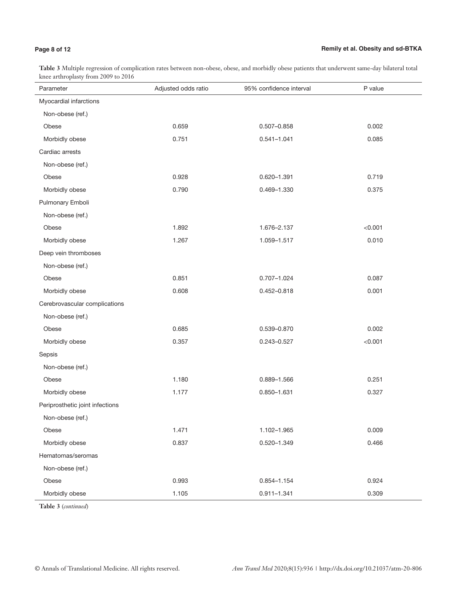## **Page 8 of 12**

## **Remily et al. Obesity and sd-BTKA**

**Table 3** Multiple regression of complication rates between non-obese, obese, and morbidly obese patients that underwent same-day bilateral total knee arthroplasty from 2009 to 2016

| Parameter                       | Adjusted odds ratio | 95% confidence interval | P value |
|---------------------------------|---------------------|-------------------------|---------|
| Myocardial infarctions          |                     |                         |         |
| Non-obese (ref.)                |                     |                         |         |
| Obese                           | 0.659               | $0.507 - 0.858$         | 0.002   |
| Morbidly obese                  | 0.751               | $0.541 - 1.041$         | 0.085   |
| Cardiac arrests                 |                     |                         |         |
| Non-obese (ref.)                |                     |                         |         |
| Obese                           | 0.928               | 0.620-1.391             | 0.719   |
| Morbidly obese                  | 0.790               | 0.469-1.330             | 0.375   |
| Pulmonary Emboli                |                     |                         |         |
| Non-obese (ref.)                |                     |                         |         |
| Obese                           | 1.892               | 1.676-2.137             | < 0.001 |
| Morbidly obese                  | 1.267               | 1.059-1.517             | 0.010   |
| Deep vein thromboses            |                     |                         |         |
| Non-obese (ref.)                |                     |                         |         |
| Obese                           | 0.851               | $0.707 - 1.024$         | 0.087   |
| Morbidly obese                  | 0.608               | 0.452-0.818             | 0.001   |
| Cerebrovascular complications   |                     |                         |         |
| Non-obese (ref.)                |                     |                         |         |
| Obese                           | 0.685               | 0.539-0.870             | 0.002   |
| Morbidly obese                  | 0.357               | 0.243-0.527             | < 0.001 |
| Sepsis                          |                     |                         |         |
| Non-obese (ref.)                |                     |                         |         |
| Obese                           | 1.180               | 0.889-1.566             | 0.251   |
| Morbidly obese                  | 1.177               | 0.850-1.631             | 0.327   |
| Periprosthetic joint infections |                     |                         |         |
| Non-obese (ref.)                |                     |                         |         |
| Obese                           | 1.471               | 1.102-1.965             | 0.009   |
| Morbidly obese                  | 0.837               | 0.520-1.349             | 0.466   |
| Hematomas/seromas               |                     |                         |         |
| Non-obese (ref.)                |                     |                         |         |
| Obese                           | 0.993               | 0.854-1.154             | 0.924   |
| Morbidly obese                  | 1.105               | $0.911 - 1.341$         | 0.309   |

**Table 3** (*continued*)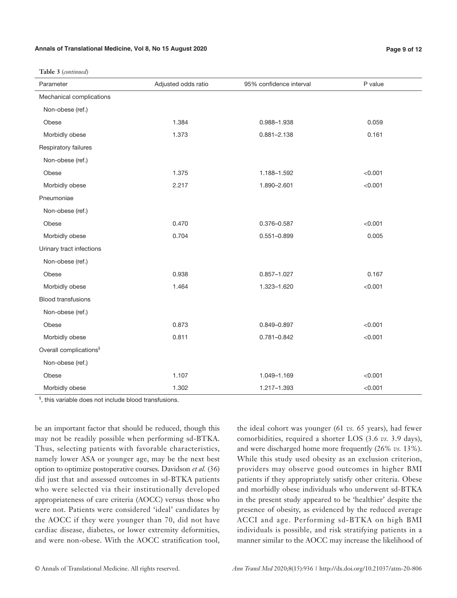#### **Annals of Translational Medicine, Vol 8, No 15 August 2020 Page 9 of 12**

**Table 3** (*continued*)

| Parameter                          | Adjusted odds ratio | 95% confidence interval | P value |
|------------------------------------|---------------------|-------------------------|---------|
| Mechanical complications           |                     |                         |         |
| Non-obese (ref.)                   |                     |                         |         |
| Obese                              | 1.384               | 0.988-1.938             | 0.059   |
| Morbidly obese                     | 1.373               | $0.881 - 2.138$         | 0.161   |
| Respiratory failures               |                     |                         |         |
| Non-obese (ref.)                   |                     |                         |         |
| Obese                              | 1.375               | 1.188-1.592             | < 0.001 |
| Morbidly obese                     | 2.217               | 1.890-2.601             | < 0.001 |
| Pneumoniae                         |                     |                         |         |
| Non-obese (ref.)                   |                     |                         |         |
| Obese                              | 0.470               | 0.376-0.587             | < 0.001 |
| Morbidly obese                     | 0.704               | $0.551 - 0.899$         | 0.005   |
| Urinary tract infections           |                     |                         |         |
| Non-obese (ref.)                   |                     |                         |         |
| Obese                              | 0.938               | $0.857 - 1.027$         | 0.167   |
| Morbidly obese                     | 1.464               | 1.323-1.620             | < 0.001 |
| <b>Blood transfusions</b>          |                     |                         |         |
| Non-obese (ref.)                   |                     |                         |         |
| Obese                              | 0.873               | 0.849-0.897             | < 0.001 |
| Morbidly obese                     | 0.811               | 0.781-0.842             | < 0.001 |
| Overall complications <sup>§</sup> |                     |                         |         |
| Non-obese (ref.)                   |                     |                         |         |
| Obese                              | 1.107               | 1.049-1.169             | < 0.001 |
| Morbidly obese                     | 1.302               | 1.217-1.393             | < 0.001 |

§ , this variable does not include blood transfusions.

be an important factor that should be reduced, though this may not be readily possible when performing sd-BTKA. Thus, selecting patients with favorable characteristics, namely lower ASA or younger age, may be the next best option to optimize postoperative courses. Davidson *et al.* (36) did just that and assessed outcomes in sd-BTKA patients who were selected via their institutionally developed appropriateness of care criteria (AOCC) versus those who were not. Patients were considered 'ideal' candidates by the AOCC if they were younger than 70, did not have cardiac disease, diabetes, or lower extremity deformities, and were non-obese. With the AOCC stratification tool,

the ideal cohort was younger (61 *vs.* 65 years), had fewer comorbidities, required a shorter LOS (3.6 *vs.* 3.9 days), and were discharged home more frequently (26% *vs.* 13%). While this study used obesity as an exclusion criterion, providers may observe good outcomes in higher BMI patients if they appropriately satisfy other criteria. Obese and morbidly obese individuals who underwent sd-BTKA in the present study appeared to be 'healthier' despite the presence of obesity, as evidenced by the reduced average ACCI and age. Performing sd-BTKA on high BMI individuals is possible, and risk stratifying patients in a manner similar to the AOCC may increase the likelihood of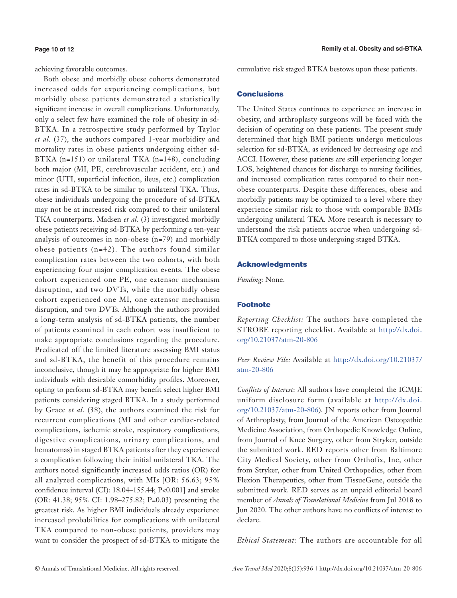#### **Page 10 of 12**

achieving favorable outcomes.

Both obese and morbidly obese cohorts demonstrated increased odds for experiencing complications, but morbidly obese patients demonstrated a statistically significant increase in overall complications. Unfortunately, only a select few have examined the role of obesity in sd-BTKA. In a retrospective study performed by Taylor *et al.* (37), the authors compared 1-year morbidity and mortality rates in obese patients undergoing either sd-BTKA  $(n=151)$  or unilateral TKA  $(n=148)$ , concluding both major (MI, PE, cerebrovascular accident, etc.) and minor (UTI, superficial infection, ileus, etc.) complication rates in sd-BTKA to be similar to unilateral TKA. Thus, obese individuals undergoing the procedure of sd-BTKA may not be at increased risk compared to their unilateral TKA counterparts. Madsen *et al.* (3) investigated morbidly obese patients receiving sd-BTKA by performing a ten-year analysis of outcomes in non-obese (n=79) and morbidly obese patients (n=42). The authors found similar complication rates between the two cohorts, with both experiencing four major complication events. The obese cohort experienced one PE, one extensor mechanism disruption, and two DVTs, while the morbidly obese cohort experienced one MI, one extensor mechanism disruption, and two DVTs. Although the authors provided a long-term analysis of sd-BTKA patients, the number of patients examined in each cohort was insufficient to make appropriate conclusions regarding the procedure. Predicated off the limited literature assessing BMI status and sd-BTKA, the benefit of this procedure remains inconclusive, though it may be appropriate for higher BMI individuals with desirable comorbidity profiles. Moreover, opting to perform sd-BTKA may benefit select higher BMI patients considering staged BTKA. In a study performed by Grace *et al.* (38), the authors examined the risk for recurrent complications (MI and other cardiac-related complications, ischemic stroke, respiratory complications, digestive complications, urinary complications, and hematomas) in staged BTKA patients after they experienced a complication following their initial unilateral TKA. The authors noted significantly increased odds ratios (OR) for all analyzed complications, with MIs [OR: 56.63; 95% confidence interval (CI): 18.04–155.44; P<0.001] and stroke (OR: 41.38; 95% CI: 1.98–275.82; P=0.03) presenting the greatest risk. As higher BMI individuals already experience increased probabilities for complications with unilateral TKA compared to non-obese patients, providers may want to consider the prospect of sd-BTKA to mitigate the cumulative risk staged BTKA bestows upon these patients.

## **Conclusions**

The United States continues to experience an increase in obesity, and arthroplasty surgeons will be faced with the decision of operating on these patients. The present study determined that high BMI patients undergo meticulous selection for sd-BTKA, as evidenced by decreasing age and ACCI. However, these patients are still experiencing longer LOS, heightened chances for discharge to nursing facilities, and increased complication rates compared to their nonobese counterparts. Despite these differences, obese and morbidly patients may be optimized to a level where they experience similar risk to those with comparable BMIs undergoing unilateral TKA. More research is necessary to understand the risk patients accrue when undergoing sd-BTKA compared to those undergoing staged BTKA.

## Acknowledgments

*Funding:* None.

### Footnote

*Reporting Checklist:* The authors have completed the STROBE reporting checklist. Available at [http://dx.doi.](http://dx.doi.org/10.21037/atm-20-806) [org/10.21037/atm-20-806](http://dx.doi.org/10.21037/atm-20-806)

*Peer Review File:* Available at [http://dx.doi.org/10.21037/](http://dx.doi.org/10.21037/atm-20-806) [atm-20-806](http://dx.doi.org/10.21037/atm-20-806)

*Conflicts of Interest*: All authors have completed the ICMJE uniform disclosure form (available at [http://dx.doi.](http://dx.doi.org/10.21037/atm-20-806) [org/10.21037/atm-20-806](http://dx.doi.org/10.21037/atm-20-806)). JN reports other from Journal of Arthroplasty, from Journal of the American Osteopathic Medicine Association, from Orthopedic Knowledge Online, from Journal of Knee Surgery, other from Stryker, outside the submitted work. RED reports other from Baltimore City Medical Society, other from Orthofix, Inc, other from Stryker, other from United Orthopedics, other from Flexion Therapeutics, other from TissueGene, outside the submitted work. RED serves as an unpaid editorial board member of *Annals of Translational Medicine* from Jul 2018 to Jun 2020. The other authors have no conflicts of interest to declare.

*Ethical Statement:* The authors are accountable for all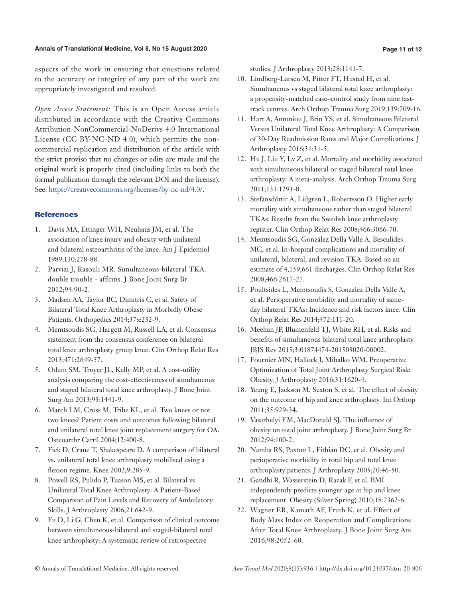## **Annals of Translational Medicine, Vol 8, No 15 August 2020 Page 11 of 12**

aspects of the work in ensuring that questions related to the accuracy or integrity of any part of the work are appropriately investigated and resolved.

*Open Access Statement:* This is an Open Access article distributed in accordance with the Creative Commons Attribution-NonCommercial-NoDerivs 4.0 International License (CC BY-NC-ND 4.0), which permits the noncommercial replication and distribution of the article with the strict proviso that no changes or edits are made and the original work is properly cited (including links to both the formal publication through the relevant DOI and the license). See: [https://creativecommons.org/licenses/by-nc-nd/4.0/.](https://creativecommons.org/licenses/by-nc-nd/4.0/)

## **References**

- 1. Davis MA, Ettinger WH, Neuhaus JM, et al. The association of knee injury and obesity with unilateral and bilateral osteoarthritis of the knee. Am J Epidemiol 1989;130:278-88.
- 2. Parvizi J, Rasouli MR. Simultaneous-bilateral TKA: double trouble - affirms. J Bone Joint Surg Br 2012;94:90-2.
- 3. Madsen AA, Taylor BC, Dimitris C, et al. Safety of Bilateral Total Knee Arthroplasty in Morbidly Obese Patients. Orthopedics 2014;37:e252-9.
- 4. Memtsoudis SG, Hargett M, Russell LA, et al. Consensus statement from the consensus conference on bilateral total knee arthroplasty group knee. Clin Orthop Relat Res 2013;471:2649-57.
- 5. Odum SM, Troyer JL, Kelly MP, et al. A cost-utility analysis comparing the cost-effectiveness of simultaneous and staged bilateral total knee arthroplasty. J Bone Joint Surg Am 2013;95:1441-9.
- 6. March LM, Cross M, Tribe KL, et al. Two knees or not two knees? Patient costs and outcomes following bilateral and unilateral total knee joint replacement surgery for OA. Osteoarthr Cartil 2004;12:400-8.
- 7. Fick D, Crane T, Shakespeare D. A comparison of bilateral vs. unilateral total knee arthroplasty mobilised using a flexion regime. Knee 2002;9:285-9.
- 8. Powell RS, Pulido P, Tuason MS, et al. Bilateral vs Unilateral Total Knee Arthroplasty: A Patient-Based Comparison of Pain Levels and Recovery of Ambulatory Skills. J Arthroplasty 2006;21:642-9.
- 9. Fu D, Li G, Chen K, et al. Comparison of clinical outcome between simultaneous-bilateral and staged-bilateral total knee arthroplasty: A systematic review of retrospective

studies. J Arthroplasty 2013;28:1141-7.

- 10. Lindberg-Larsen M, Pitter FT, Husted H, et al. Simultaneous vs staged bilateral total knee arthroplasty: a propensity-matched case–control study from nine fasttrack centres. Arch Orthop Trauma Surg 2019;139:709-16.
- 11. Hart A, Antoniou J, Brin YS, et al. Simultaneous Bilateral Versus Unilateral Total Knee Arthroplasty: A Comparison of 30-Day Readmission Rates and Major Complications. J Arthroplasty 2016;31:31-5.
- 12. Hu J, Liu Y, Lv Z, et al. Mortality and morbidity associated with simultaneous bilateral or staged bilateral total knee arthroplasty: A meta-analysis. Arch Orthop Trauma Surg 2011;131:1291-8.
- 13. Stefánsdóttir A, Lidgren L, Robertsson O. Higher early mortality with simultaneous rather than staged bilateral TKAs: Results from the Swedish knee arthroplasty register. Clin Orthop Relat Res 2008;466:3066-70.
- 14. Memtsoudis SG, González Della Valle A, Besculides MC, et al. In-hospital complications and mortality of unilateral, bilateral, and revision TKA: Based on an estimate of 4,159,661 discharges. Clin Orthop Relat Res 2008;466:2617-27.
- 15. Poultsides L, Memtsoudis S, Gonzalez Della Valle A, et al. Perioperative morbidity and mortality of sameday bilateral TKAs: Incidence and risk factors knee. Clin Orthop Relat Res 2014;472:111-20.
- 16. Meehan JP, Blumenfeld TJ, White RH, et al. Risks and benefits of simultaneous bilateral total knee arthroplasty. JBJS Rev 2015;3:01874474-201503020-00002.
- 17. Fournier MN, Hallock J, Mihalko WM. Preoperative Optimization of Total Joint Arthroplasty Surgical Risk: Obesity. J Arthroplasty 2016;31:1620-4.
- 18. Yeung E, Jackson M, Sexton S, et al. The effect of obesity on the outcome of hip and knee arthroplasty. Int Orthop 2011;35:929-34.
- 19. Vasarhelyi EM, MacDonald SJ. The influence of obesity on total joint arthroplasty. J Bone Joint Surg Br 2012;94:100-2.
- 20. Namba RS, Paxton L, Fithian DC, et al. Obesity and perioperative morbidity in total hip and total knee arthroplasty patients. J Arthroplasty 2005;20:46-50.
- 21. Gandhi R, Wasserstein D, Razak F, et al. BMI independently predicts younger age at hip and knee replacement. Obesity (Silver Spring) 2010;18:2362-6.
- 22. Wagner ER, Kamath AF, Fruth K, et al. Effect of Body Mass Index on Reoperation and Complications After Total Knee Arthroplasty. J Bone Joint Surg Am 2016;98:2052-60.